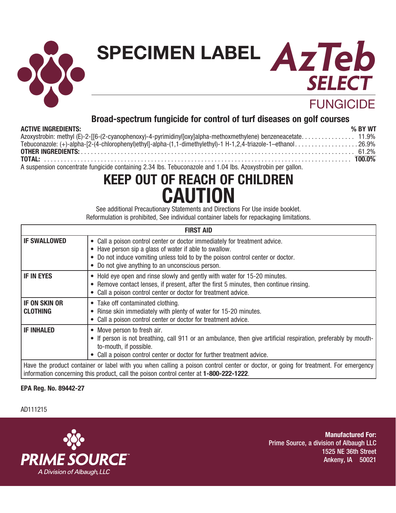

# **SPECIMEN LABEL**

# **FUNGICIDE**

**SELECT** 

**AzTeb**

## **Broad-spectrum fungicide for control of turf diseases on golf courses**

#### **ACTIVE INGREDIENTS: % BY WT**

| Azoxystrobin: methyl (E)-2-[[6-(2-cyanophenoxy)-4-pyrimidinyl]oxy]alpha-methoxmethylene) benzeneacetate 11.9%                                                                                                                     |  |
|-----------------------------------------------------------------------------------------------------------------------------------------------------------------------------------------------------------------------------------|--|
| Tebuconazole: (+)-alpha-[2-(4-chlorophenyl)ethyl]-alpha-(1,1-dimethylethyl)-1 H-1,2,4-triazole-1-ethanol26.9%                                                                                                                     |  |
|                                                                                                                                                                                                                                   |  |
|                                                                                                                                                                                                                                   |  |
| $\mathbf{A}$ . The contract of the contract of the contract of the contract of the contract of the contract of the contract of the contract of the contract of the contract of the contract of the contract of the contract of th |  |

A suspension concentrate fungicide containing 2.34 lbs. Tebuconazole and 1.04 lbs. Azoxystrobin per gallon.

# **KEEP OUT OF REACH OF CHILDREN CAUTION**

See additional Precautionary Statements and Directions For Use inside booklet. Reformulation is prohibited, See individual container labels for repackaging limitations.

|                                         | <b>FIRST AID</b>                                                                                                                                                                                                                                                                     |
|-----------------------------------------|--------------------------------------------------------------------------------------------------------------------------------------------------------------------------------------------------------------------------------------------------------------------------------------|
| <b>IF SWALLOWED</b>                     | Call a poison control center or doctor immediately for treatment advice.<br>$\bullet$<br>• Have person sip a glass of water if able to swallow.<br>Do not induce vomiting unless told to by the poison control center or doctor.<br>• Do not give anything to an unconscious person. |
| <b>IF IN EYES</b>                       | • Hold eye open and rinse slowly and gently with water for 15-20 minutes.<br>• Remove contact lenses, if present, after the first 5 minutes, then continue rinsing.<br>Call a poison control center or doctor for treatment advice.                                                  |
| <b>IF ON SKIN OR</b><br><b>CLOTHING</b> | • Take off contaminated clothing.<br>• Rinse skin immediately with plenty of water for 15-20 minutes.<br>Call a poison control center or doctor for treatment advice.                                                                                                                |
| <b>IF INHALED</b>                       | • Move person to fresh air.<br>• If person is not breathing, call 911 or an ambulance, then give artificial respiration, preferably by mouth-<br>to-mouth, if possible.<br>Call a poison control center or doctor for further treatment advice.                                      |
|                                         | Have the product container or label with you when calling a poison control center or doctor, or going for treatment. For emergency<br>information concerning this product, call the poison control center at 1-800-222-1222.                                                         |

## **EPA Reg. No. 89442-27**

#### AD111215



**Manufactured For:** Prime Source, a division of Albaugh LLC 1525 NE 36th Street Ankeny, IA 50021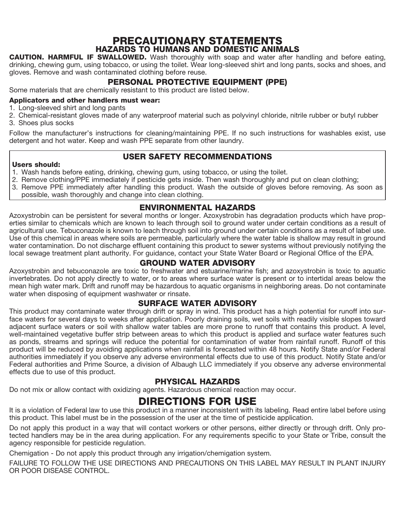## PRECAUTIONARY STATEMENTS HAZARDS TO HUMANS AND DOMESTIC ANIMALS

CAUTION. HARMFUL IF SWALLOWED. Wash thoroughly with soap and water after handling and before eating, drinking, chewing gum, using tobacco, or using the toilet. Wear long-sleeved shirt and long pants, socks and shoes, and gloves. Remove and wash contaminated clothing before reuse.

## PERSONAL PROTECTIVE EQUIPMENT (PPE)

Some materials that are chemically resistant to this product are listed below.

#### Applicators and other handlers must wear:

- 1. Long-sleeved shirt and long pants
- 2. Chemical-resistant gloves made of any waterproof material such as polyvinyl chloride, nitrile rubber or butyl rubber 3. Shoes plus socks

Follow the manufacturer's instructions for cleaning/maintaining PPE. If no such instructions for washables exist, use detergent and hot water. Keep and wash PPE separate from other laundry.

## USER SAFETY RECOMMENDATIONS

#### Users should:

- 1. Wash hands before eating, drinking, chewing gum, using tobacco, or using the toilet.
- 2. Remove clothing/PPE immediately if pesticide gets inside. Then wash thoroughly and put on clean clothing;
- 3. Remove PPE immediately after handling this product. Wash the outside of gloves before removing. As soon as
- possible, wash thoroughly and change into clean clothing.

## ENVIRONMENTAL HAZARDS

Azoxystrobin can be persistent for several months or longer. Azoxystrobin has degradation products which have properties similar to chemicals which are known to leach through soil to ground water under certain conditions as a result of agricultural use. Tebuconazole is known to leach through soil into ground under certain conditions as a result of label use. Use of this chemical in areas where soils are permeable, particularly where the water table is shallow may result in ground water contamination. Do not discharge effluent containing this product to sewer systems without previously notifying the local sewage treatment plant authority. For guidance, contact your State Water Board or Regional Office of the EPA.

## GROUND WATER ADVISORY

Azoxystrobin and tebuconazole are toxic to freshwater and estuarine/marine fish; and azoxystrobin is toxic to aquatic invertebrates. Do not apply directly to water, or to areas where surface water is present or to intertidal areas below the mean high water mark. Drift and runoff may be hazardous to aquatic organisms in neighboring areas. Do not contaminate water when disposing of equipment washwater or rinsate.

## SURFACE WATER ADVISORY

This product may contaminate water through drift or spray in wind. This product has a high potential for runoff into surface waters for several days to weeks after application. Poorly draining soils, wet soils with readily visible slopes toward adjacent surface waters or soil with shallow water tables are more prone to runoff that contains this product. A level, well-maintained vegetative buffer strip between areas to which this product is applied and surface water features such as ponds, streams and springs will reduce the potential for contamination of water from rainfall runoff. Runoff of this product will be reduced by avoiding applications when rainfall is forecasted within 48 hours. Notify State and/or Federal authorities immediately if you observe any adverse environmental effects due to use of this product. Notify State and/or Federal authorities and Prime Source, a division of Albaugh LLC immediately if you observe any adverse environmental effects due to use of this product.

## PHYSICAL HAZARDS

Do not mix or allow contact with oxidizing agents. Hazardous chemical reaction may occur.

## DIRECTIONS FOR USE

It is a violation of Federal law to use this product in a manner inconsistent with its labeling. Read entire label before using this product. This label must be in the possession of the user at the time of pesticide application.

Do not apply this product in a way that will contact workers or other persons, either directly or through drift. Only protected handlers may be in the area during application. For any requirements specific to your State or Tribe, consult the agency responsible for pesticide regulation.

Chemigation - Do not apply this product through any irrigation/chemigation system.

FAILURE TO FOLLOW THE USE DIRECTIONS AND PRECAUTIONS ON THIS LABEL MAY RESULT IN PLANT INJURY OR POOR DISEASE CONTROL.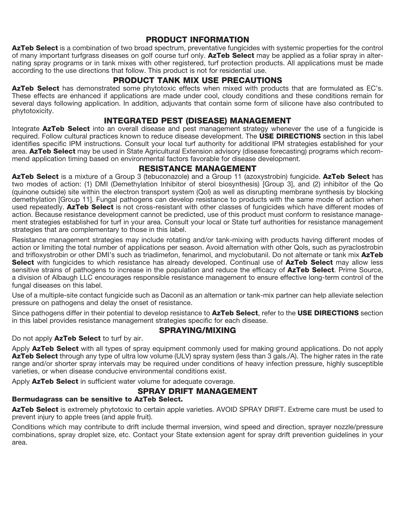## PRODUCT INFORMATION

AzTeb Select is a combination of two broad spectrum, preventative fungicides with systemic properties for the control of many important turfgrass diseases on golf course turf only. AzTeb Select may be applied as a foliar spray in alternating spray programs or in tank mixes with other registered, turf protection products. All applications must be made according to the use directions that follow. This product is not for residential use.

## PRODUCT TANK MIX USE PRECAUTIONS

AzTeb Select has demonstrated some phytotoxic effects when mixed with products that are formulated as EC's. These effects are enhanced if applications are made under cool, cloudy conditions and these conditions remain for several days following application. In addition, adjuvants that contain some form of silicone have also contributed to phytotoxicity.

## INTEGRATED PEST (DISEASE) MANAGEMENT

Integrate AzTeb Select into an overall disease and pest management strategy whenever the use of a fungicide is required. Follow cultural practices known to reduce disease development. The **USE DIRECTIONS** section in this label identifies specific IPM instructions. Consult your local turf authority for additional IPM strategies established for your area. AzTeb Select may be used in State Agricultural Extension advisory (disease forecasting) programs which recommend application timing based on environmental factors favorable for disease development.

## RESISTANCE MANAGEMENT

AzTeb Select is a mixture of a Group 3 (tebuconazole) and a Group 11 (azoxystrobin) fungicide. AzTeb Select has two modes of action: (1) DMI (Demethylation Inhibitor of sterol biosynthesis) [Group 3], and (2) inhibitor of the Qo (quinone outside) site within the electron transport system (Qol) as well as disrupting membrane synthesis by blocking demethylation [Group 11]. Fungal pathogens can develop resistance to products with the same mode of action when used repeatedly. **AzTeb Select** is not cross-resistant with other classes of fungicides which have different modes of action. Because resistance development cannot be predicted, use of this product must conform to resistance management strategies established for turf in your area. Consult your local or State turf authorities for resistance management strategies that are complementary to those in this label.

Resistance management strategies may include rotating and/or tank-mixing with products having different modes of action or limiting the total number of applications per season. Avoid alternation with other Qols, such as pyraclostrobin and trifloxystrobin or other DMI's such as triadimefon, fenarimol, and myclobutanil. Do not alternate or tank mix AzTeb Select with fungicides to which resistance has already developed. Continual use of AzTeb Select may allow less sensitive strains of pathogens to increase in the population and reduce the efficacy of **AzTeb Select**. Prime Source, a division of Albaugh LLC encourages responsible resistance management to ensure effective long-term control of the fungal diseases on this label.

Use of a multiple-site contact fungicide such as Daconil as an alternation or tank-mix partner can help alleviate selection pressure on pathogens and delay the onset of resistance.

Since pathogens differ in their potential to develop resistance to AzTeb Select, refer to the USE DIRECTIONS section in this label provides resistance management strategies specific for each disease.

## SPRAYING/MIXING

Do not apply AzTeb Select to turf by air.

Apply AzTeb Select with all types of spray equipment commonly used for making ground applications. Do not apply AzTeb Select through any type of ultra low volume (ULV) spray system (less than 3 gals./A). The higher rates in the rate range and/or shorter spray intervals may be required under conditions of heavy infection pressure, highly susceptible varieties, or when disease conducive environmental conditions exist.

Apply AzTeb Select in sufficient water volume for adequate coverage.

## SPRAY DRIFT MANAGEMENT

#### Bermudagrass can be sensitive to AzTeb Select.

AzTeb Select is extremely phytotoxic to certain apple varieties. AVOID SPRAY DRIFT. Extreme care must be used to prevent injury to apple trees (and apple fruit).

Conditions which may contribute to drift include thermal inversion, wind speed and direction, sprayer nozzle/pressure combinations, spray droplet size, etc. Contact your State extension agent for spray drift prevention guidelines in your area.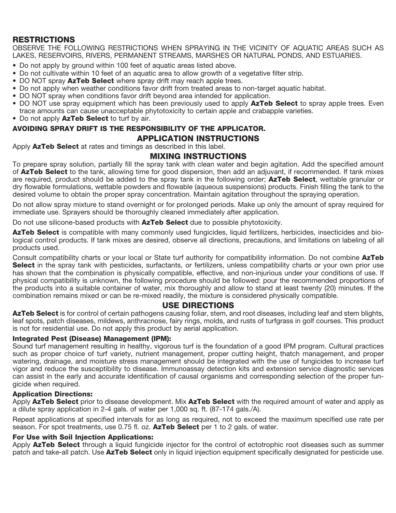## **RESTRICTIONS**

OBSERVE THE FOLLOWING RESTRICTIONS WHEN SPRAYING IN THE VICINITY OF AQUATIC AREAS SUCH AS LAKES, RESERVOIRS, RIVERS, PERMANENT STREAMS, MARSHES OR NATURAL PONDS, AND ESTUARIES.

- Do not apply by ground within 100 feet of aquatic areas listed above.
- Do not cultivate within 10 feet of an aquatic area to allow growth of a vegetative filter strip.
- DO NOT spray **AzTeb Select** where spray drift may reach apple trees.
- Do not apply when weather conditions favor drift from treated areas to non-target aquatic habitat.
- DO NOT spray when conditions favor drift beyond area intended for application.
- DO NOT use spray equipment which has been previously used to apply **AzTeb Select** to spray apple trees. Even trace amounts can cause unacceptable phytotoxicity to certain apple and crabapple varieties.
- Do not apply AzTeb Select to turf by air.

#### AVOIDING SPRAY DRIFT IS THE RESPONSIBILITY OF THE APPLICATOR. APPLICATION INSTRUCTIONS

Apply **AzTeb Select** at rates and timings as described in this label.

#### MIXING INSTRUCTIONS

To prepare spray solution, partially fill the spray tank with clean water and begin agitation. Add the specified amount of **AzTeb Select** to the tank, allowing time for good dispersion, then add an adjuvant, if recommended. If tank mixes are required, product should be added to the spray tank in the following order: **AzTeb Select**, wettable granular or dry flowable formulations, wettable powders and flowable (aqueous suspensions) products. Finish filling the tank to the desired volume to obtain the proper spray concentration. Maintain agitation throughout the spraying operation.

Do not allow spray mixture to stand overnight or for prolonged periods. Make up only the amount of spray required for immediate use. Sprayers should be thoroughly cleaned immediately after application.

Do not use silicone-based products with **AzTeb Select** due to possible phytotoxicity.

AzTeb Select is compatible with many commonly used fungicides, liquid fertilizers, herbicides, insecticides and biological control products. If tank mixes are desired, observe all directions, precautions, and limitations on labeling of all products used.

Consult compatibility charts or your local or State turf authority for compatibility information. Do not combine AzTeb Select in the spray tank with pesticides, surfactants, or fertilizers, unless compatibility charts or your own prior use has shown that the combination is physically compatible, effective, and non-injurious under your conditions of use. If physical compatibility is unknown, the following procedure should be followed: pour the recommended proportions of the products into a suitable container of water, mix thoroughly and allow to stand at least twenty (20) minutes. If the combination remains mixed or can be re-mixed readily, the mixture is considered physically compatible.

#### USE DIRECTIONS

AzTeb Select is for control of certain pathogens causing foliar, stem, and root diseases, including leaf and stem blights, leaf spots, patch diseases, mildews, anthracnose, fairy rings, molds, and rusts of turfgrass in golf courses. This product is not for residential use. Do not apply this product by aerial application.

#### Integrated Pest (Disease) Management (IPM):

Sound turf management resulting in healthy, vigorous turf is the foundation of a good IPM program. Cultural practices such as proper choice of turf variety, nutrient management, proper cutting height, thatch management, and proper watering, drainage, and moisture stress management should be integrated with the use of fungicides to increase turf vigor and reduce the susceptibility to disease. Immunoassay detection kits and extension service diagnostic services can assist in the early and accurate identification of causal organisms and corresponding selection of the proper fungicide when required.

#### Application Directions:

Apply AzTeb Select prior to disease development. Mix AzTeb Select with the required amount of water and apply as a dilute spray application in 2-4 gals. of water per 1,000 sq. ft. (87-174 gals./A).

Repeat applications at specified intervals for as long as required, not to exceed the maximum specified use rate per season. For spot treatments, use 0.75 fl. oz. **AzTeb Select** per 1 to 2 gals. of water.

#### For Use with Soil Injection Applications:

Apply AzTeb Select through a liquid fungicide injector for the control of ectotrophic root diseases such as summer patch and take-all patch. Use AzTeb Select only in liquid injection equipment specifically designated for pesticide use.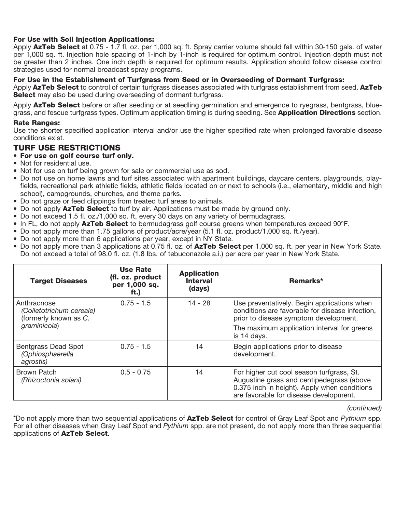#### For Use with Soil Injection Applications:

Apply AzTeb Select at 0.75 - 1.7 fl. oz. per 1,000 sq. ft. Spray carrier volume should fall within 30-150 gals. of water per 1,000 sq. ft. Injection hole spacing of 1-inch by 1-inch is required for optimum control. Injection depth must not be greater than 2 inches. One inch depth is required for optimum results. Application should follow disease control strategies used for normal broadcast spray programs.

#### For Use in the Establishment of Turfgrass from Seed or in Overseeding of Dormant Turfgrass:

Apply AzTeb Select to control of certain turfgrass diseases associated with turfgrass establishment from seed. AzTeb Select may also be used during overseeding of dormant turfgrass.

Apply **AzTeb Select** before or after seeding or at seedling germination and emergence to ryegrass, bentgrass, bluegrass, and fescue turfgrass types. Optimum application timing is during seeding. See **Application Directions** section.

#### Rate Ranges:

Use the shorter specified application interval and/or use the higher specified rate when prolonged favorable disease conditions exist.

#### TURF USE RESTRICTIONS

- For use on golf course turf only.
- Not for residential use.
- Not for use on turf being grown for sale or commercial use as sod.
- Do not use on home lawns and turf sites associated with apartment buildings, daycare centers, playgrounds, playfields, recreational park athletic fields, athletic fields located on or next to schools (i.e., elementary, middle and high school), campgrounds, churches, and theme parks.
- Do not graze or feed clippings from treated turf areas to animals.
- Do not apply **AzTeb Select** to turf by air. Applications must be made by ground only.
- Do not exceed 1.5 fl. oz./1,000 sq. ft. every 30 days on any variety of bermudagrass.
- In FL, do not apply **AzTeb Select** to bermudagrass golf course greens when temperatures exceed 90°F.
- Do not apply more than 1.75 gallons of product/acre/year (5.1 fl. oz. product/1,000 sq. ft./year).
- Do not apply more than 6 applications per year, except in NY State.
- Do not apply more than 3 applications at 0.75 fl. oz. of **AzTeb Select** per 1,000 sq. ft. per year in New York State. Do not exceed a total of 98.0 fl. oz. (1.8 lbs. of tebuconazole a.i.) per acre per year in New York State.

| <b>Target Diseases</b>                                           | <b>Use Rate</b><br>(fl. oz. product<br>per 1,000 sq.<br>ft.) | <b>Application</b><br><b>Interval</b><br>(days) | Remarks*                                                                                                                                                                         |
|------------------------------------------------------------------|--------------------------------------------------------------|-------------------------------------------------|----------------------------------------------------------------------------------------------------------------------------------------------------------------------------------|
| Anthracnose<br>(Colletotrichum cereale)<br>(formerly known as C. | $0.75 - 1.5$                                                 | $14 - 28$                                       | Use preventatively. Begin applications when<br>conditions are favorable for disease infection,<br>prior to disease symptom development.                                          |
| graminicola)                                                     |                                                              |                                                 | The maximum application interval for greens<br>is 14 days.                                                                                                                       |
| Bentgrass Dead Spot<br>(Ophiosphaerella<br>agrostis)             | $0.75 - 1.5$                                                 | 14                                              | Begin applications prior to disease<br>development.                                                                                                                              |
| Brown Patch<br>(Rhizoctonia solani)                              | $0.5 - 0.75$                                                 | 14                                              | For higher cut cool season turfgrass, St.<br>Augustine grass and centipedegrass (above<br>0.375 inch in height). Apply when conditions<br>are favorable for disease development. |

*(continued)*

\*Do not apply more than two sequential applications of AzTeb Select for control of Gray Leaf Spot and *Pythium* spp. For all other diseases when Gray Leaf Spot and *Pythium* spp. are not present, do not apply more than three sequential applications of AzTeb Select.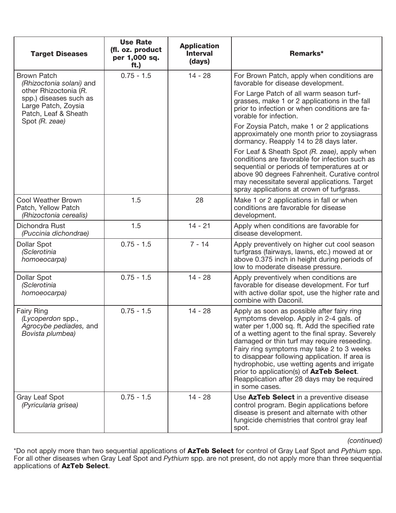| <b>Target Diseases</b>                                                                         | <b>Use Rate</b><br>(fl. oz. product<br>per 1,000 sq.<br>ft.) | <b>Application</b><br><b>Interval</b><br>(days) | Remarks*                                                                                                                                                                                                                                                                                                                                                                                                                                                                                              |
|------------------------------------------------------------------------------------------------|--------------------------------------------------------------|-------------------------------------------------|-------------------------------------------------------------------------------------------------------------------------------------------------------------------------------------------------------------------------------------------------------------------------------------------------------------------------------------------------------------------------------------------------------------------------------------------------------------------------------------------------------|
| <b>Brown Patch</b><br>(Rhizoctonia solani) and                                                 | $0.75 - 1.5$                                                 | $14 - 28$                                       | For Brown Patch, apply when conditions are<br>favorable for disease development.                                                                                                                                                                                                                                                                                                                                                                                                                      |
| other Rhizoctonia (R.<br>spp.) diseases such as<br>Large Patch, Zoysia<br>Patch, Leaf & Sheath |                                                              |                                                 | For Large Patch of all warm season turf-<br>grasses, make 1 or 2 applications in the fall<br>prior to infection or when conditions are fa-<br>vorable for infection.                                                                                                                                                                                                                                                                                                                                  |
| Spot (R. zeae)                                                                                 |                                                              |                                                 | For Zoysia Patch, make 1 or 2 applications<br>approximately one month prior to zoysiagrass<br>dormancy. Reapply 14 to 28 days later.                                                                                                                                                                                                                                                                                                                                                                  |
|                                                                                                |                                                              |                                                 | For Leaf & Sheath Spot (R. zeae), apply when<br>conditions are favorable for infection such as<br>sequential or periods of temperatures at or<br>above 90 degrees Fahrenheit. Curative control<br>may necessitate several applications. Target<br>spray applications at crown of turfgrass.                                                                                                                                                                                                           |
| <b>Cool Weather Brown</b><br>Patch, Yellow Patch<br>(Rhizoctonia cerealis)                     | 1.5                                                          | 28                                              | Make 1 or 2 applications in fall or when<br>conditions are favorable for disease<br>development.                                                                                                                                                                                                                                                                                                                                                                                                      |
| Dichondra Rust<br>(Puccinia dichondrae)                                                        | 1.5                                                          | $14 - 21$                                       | Apply when conditions are favorable for<br>disease development.                                                                                                                                                                                                                                                                                                                                                                                                                                       |
| <b>Dollar Spot</b><br>(Sclerotinia<br>homoeocarpa)                                             | $0.75 - 1.5$                                                 | $7 - 14$                                        | Apply preventively on higher cut cool season<br>turfgrass (fairways, lawns, etc.) mowed at or<br>above 0.375 inch in height during periods of<br>low to moderate disease pressure.                                                                                                                                                                                                                                                                                                                    |
| <b>Dollar Spot</b><br>(Sclerotinia<br>homoeocarpa)                                             | $0.75 - 1.5$                                                 | $14 - 28$                                       | Apply preventively when conditions are<br>favorable for disease development. For turf<br>with active dollar spot, use the higher rate and<br>combine with Daconil.                                                                                                                                                                                                                                                                                                                                    |
| <b>Fairy Ring</b><br>(Lycoperdon spp.,<br>Agrocybe pediades, and<br>Bovista plumbea)           | $0.75 - 1.5$                                                 | $14 - 28$                                       | Apply as soon as possible after fairy ring<br>symptoms develop. Apply in 2-4 gals. of<br>water per 1,000 sq. ft. Add the specified rate<br>of a wetting agent to the final spray. Severely<br>damaged or thin turf may require reseeding.<br>Fairy ring symptoms may take 2 to 3 weeks<br>to disappear following application. If area is<br>hydrophobic, use wetting agents and irrigate<br>prior to application(s) of AzTeb Select.<br>Reapplication after 28 days may be required<br>in some cases. |
| Gray Leaf Spot<br>(Pyricularia grisea)                                                         | $0.75 - 1.5$                                                 | $14 - 28$                                       | Use AzTeb Select in a preventive disease<br>control program. Begin applications before<br>disease is present and alternate with other<br>fungicide chemistries that control gray leaf<br>spot.                                                                                                                                                                                                                                                                                                        |

*(continued)*

\*Do not apply more than two sequential applications of AzTeb Select for control of Gray Leaf Spot and *Pythium* spp. For all other diseases when Gray Leaf Spot and *Pythium* spp. are not present, do not apply more than three sequential applications of AzTeb Select.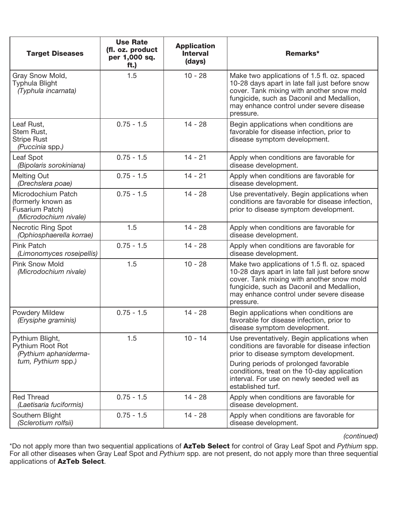| <b>Target Diseases</b>                                                               | <b>Use Rate</b><br>(fl. oz. product<br>per 1,000 sq.<br>ft.) | <b>Application</b><br><b>Interval</b><br>(days) | Remarks*                                                                                                                                                                                                                                         |
|--------------------------------------------------------------------------------------|--------------------------------------------------------------|-------------------------------------------------|--------------------------------------------------------------------------------------------------------------------------------------------------------------------------------------------------------------------------------------------------|
| Gray Snow Mold,<br><b>Typhula Blight</b><br>(Typhula incarnata)                      | 1.5                                                          | $10 - 28$                                       | Make two applications of 1.5 fl. oz. spaced<br>10-28 days apart in late fall just before snow<br>cover. Tank mixing with another snow mold<br>fungicide, such as Daconil and Medallion,<br>may enhance control under severe disease<br>pressure. |
| Leaf Rust,<br>Stem Rust,<br><b>Stripe Rust</b><br>(Puccinia spp.)                    | $0.75 - 1.5$                                                 | $14 - 28$                                       | Begin applications when conditions are<br>favorable for disease infection, prior to<br>disease symptom development.                                                                                                                              |
| Leaf Spot<br>(Bipolaris sorokiniana)                                                 | $0.75 - 1.5$                                                 | $14 - 21$                                       | Apply when conditions are favorable for<br>disease development.                                                                                                                                                                                  |
| <b>Melting Out</b><br>(Drechslera poae)                                              | $0.75 - 1.5$                                                 | $14 - 21$                                       | Apply when conditions are favorable for<br>disease development.                                                                                                                                                                                  |
| Microdochium Patch<br>(formerly known as<br>Fusarium Patch)<br>(Microdochium nivale) | $0.75 - 1.5$                                                 | $14 - 28$                                       | Use preventatively. Begin applications when<br>conditions are favorable for disease infection,<br>prior to disease symptom development.                                                                                                          |
| <b>Necrotic Ring Spot</b><br>(Ophiosphaerella korrae)                                | 1.5                                                          | $14 - 28$                                       | Apply when conditions are favorable for<br>disease development.                                                                                                                                                                                  |
| Pink Patch<br>(Limonomyces roseipellis)                                              | $0.75 - 1.5$                                                 | $14 - 28$                                       | Apply when conditions are favorable for<br>disease development.                                                                                                                                                                                  |
| <b>Pink Snow Mold</b><br>(Microdochium nivale)                                       | 1.5                                                          | $10 - 28$                                       | Make two applications of 1.5 fl. oz. spaced<br>10-28 days apart in late fall just before snow<br>cover. Tank mixing with another snow mold<br>fungicide, such as Daconil and Medallion,<br>may enhance control under severe disease<br>pressure. |
| Powdery Mildew<br>(Erysiphe graminis)                                                | $0.75 - 1.5$                                                 | $14 - 28$                                       | Begin applications when conditions are<br>favorable for disease infection, prior to<br>disease symptom development.                                                                                                                              |
| Pythium Blight,<br>Pythium Root Rot<br>(Pythium aphaniderma-                         | 1.5                                                          | $10 - 14$                                       | Use preventatively. Begin applications when<br>conditions are favorable for disease infection<br>prior to disease symptom development.                                                                                                           |
| tum, Pythium spp.)                                                                   |                                                              |                                                 | During periods of prolonged favorable<br>conditions, treat on the 10-day application<br>interval. For use on newly seeded well as<br>established turf.                                                                                           |
| <b>Red Thread</b><br>(Laetisaria fuciformis)                                         | $0.75 - 1.5$                                                 | $14 - 28$                                       | Apply when conditions are favorable for<br>disease development.                                                                                                                                                                                  |
| Southern Blight<br>(Sclerotium rolfsii)                                              | $0.75 - 1.5$                                                 | $14 - 28$                                       | Apply when conditions are favorable for<br>disease development.                                                                                                                                                                                  |

*(continued)*

\*Do not apply more than two sequential applications of AzTeb Select for control of Gray Leaf Spot and *Pythium* spp. For all other diseases when Gray Leaf Spot and *Pythium* spp. are not present, do not apply more than three sequential applications of AzTeb Select.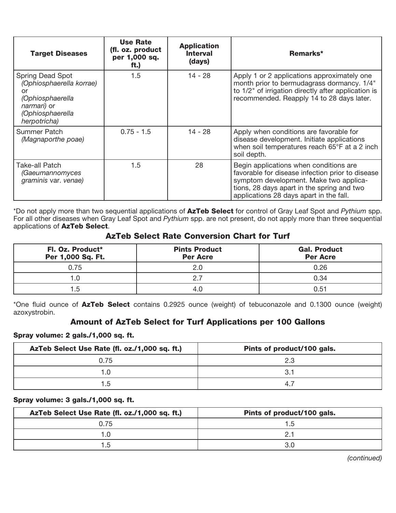| <b>Target Diseases</b>                                                                                                    | <b>Use Rate</b><br>(fl. oz. product<br>per 1,000 sq.<br>ft.) | <b>Application</b><br><b>Interval</b><br>(days) | Remarks*                                                                                                                                                                                                                      |
|---------------------------------------------------------------------------------------------------------------------------|--------------------------------------------------------------|-------------------------------------------------|-------------------------------------------------------------------------------------------------------------------------------------------------------------------------------------------------------------------------------|
| Spring Dead Spot<br>(Ophiosphaerella korrae)<br>or<br>(Ophiosphaerella<br>narmari) or<br>(Ophiosphaerella<br>herpotricha) | 1.5                                                          | 14 - 28                                         | Apply 1 or 2 applications approximately one<br>month prior to bermudagrass dormancy. 1/4"<br>to 1/2" of irrigation directly after application is<br>recommended. Reapply 14 to 28 days later.                                 |
| Summer Patch<br>(Magnaporthe poae)                                                                                        | $0.75 - 1.5$                                                 | 14 - 28                                         | Apply when conditions are favorable for<br>disease development. Initiate applications<br>when soil temperatures reach 65°F at a 2 inch<br>soil depth.                                                                         |
| Take-all Patch<br>(Gaeumannomyces<br>graminis var. venae)                                                                 | 1.5                                                          | 28                                              | Begin applications when conditions are<br>favorable for disease infection prior to disease<br>symptom development. Make two applica-<br>tions, 28 days apart in the spring and two<br>applications 28 days apart in the fall. |

\*Do not apply more than two sequential applications of AzTeb Select for control of Gray Leaf Spot and *Pythium* spp. For all other diseases when Gray Leaf Spot and *Pythium* spp. are not present, do not apply more than three sequential applications of AzTeb Select.

## AzTeb Select Rate Conversion Chart for Turf

| Fl. Oz. Product*<br>Per 1,000 Sq. Ft. | <b>Pints Product</b><br><b>Per Acre</b> | <b>Gal. Product</b><br><b>Per Acre</b> |
|---------------------------------------|-----------------------------------------|----------------------------------------|
| 0.75                                  |                                         | 0.26                                   |
| 1.0                                   |                                         | 0.34                                   |
| 1.5                                   |                                         | 0.51                                   |

\*One fluid ounce of AzTeb Select contains 0.2925 ounce (weight) of tebuconazole and 0.1300 ounce (weight) azoxystrobin.

## Amount of AzTeb Select for Turf Applications per 100 Gallons

#### Spray volume: 2 gals./1,000 sq. ft.

| AzTeb Select Use Rate (fl. oz./1,000 sq. ft.) | Pints of product/100 gals. |
|-----------------------------------------------|----------------------------|
| 0.75                                          | 2.3                        |
|                                               |                            |
| 1.5                                           |                            |

#### Spray volume: 3 gals./1,000 sq. ft.

| AzTeb Select Use Rate (fl. oz./1,000 sq. ft.) | Pints of product/100 gals. |
|-----------------------------------------------|----------------------------|
| 0.75                                          | 5. ا                       |
|                                               |                            |
| ٦.5                                           |                            |

*(continued)*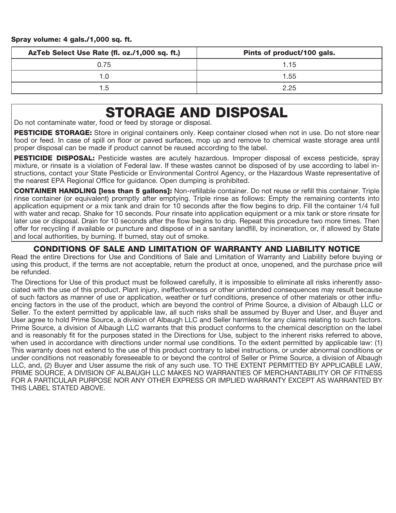| AzTeb Select Use Rate (fl. oz./1,000 sq. ft.) | Pints of product/100 gals. |
|-----------------------------------------------|----------------------------|
| 0.75                                          | 1.15                       |
| 1.0                                           | 1.55                       |
| $1.5\,$                                       | 2.25                       |

## STORAGE AND DISPOSAL

Do not contaminate water, food or feed by storage or disposal.

PESTICIDE STORAGE: Store in original containers only. Keep container closed when not in use. Do not store near food or feed. In case of spill on floor or paved surfaces, mop up and remove to chemical waste storage area until proper disposal can be made if product cannot be reused according to the label.

PESTICIDE DISPOSAL: Pesticide wastes are acutely hazardous. Improper disposal of excess pesticide, spray mixture, or rinsate is a violation of Federal law. If these wastes cannot be disposed of by use according to label instructions, contact your State Pesticide or Environmental Control Agency, or the Hazardous Waste representative of the nearest EPA Regional Office for guidance. Open dumping is prohibited.

CONTAINER HANDLING [less than 5 gallons]: Non-refillable container. Do not reuse or refill this container. Triple rinse container (or equivalent) promptly after emptying. Triple rinse as follows: Empty the remaining contents into application equipment or a mix tank and drain for 10 seconds after the flow begins to drip. Fill the container 1/4 full with water and recap. Shake for 10 seconds. Pour rinsate into application equipment or a mix tank or store rinsate for later use or disposal. Drain for 10 seconds after the flow begins to drip. Repeat this procedure two more times. Then offer for recycling if available or puncture and dispose of in a sanitary landfill, by incineration, or, if allowed by State and local authorities, by burning. If burned, stay out of smoke.

### CONDITIONS OF SALE AND LIMITATION OF WARRANTY AND LIABILITY NOTICE

Read the entire Directions for Use and Conditions of Sale and Limitation of Warranty and Liability before buying or using this product, if the terms are not acceptable, return the product at once, unopened, and the purchase price will be refunded.

The Directions for Use of this product must be followed carefully, it is impossible to eliminate all risks inherently associated with the use of this product. Plant injury, ineffectiveness or other unintended consequences may result because of such factors as manner of use or application, weather or turf conditions, presence of other materials or other influencing factors in the use of the product, which are beyond the control of Prime Source, a division of Albaugh LLC or Seller. To the extent permitted by applicable law, all such risks shall be assumed by Buyer and User, and Buyer and User agree to hold Prime Source, a division of Albaugh LLC and Seller harmless for any claims relating to such factors. Prime Source, a division of Albaugh LLC warrants that this product conforms to the chemical description on the label and is reasonably fit for the purposes stated in the Directions for Use, subject to the inherent risks referred to above, when used in accordance with directions under normal use conditions. To the extent permitted by applicable law: (1) This warranty does not extend to the use of this product contrary to label instructions, or under abnormal conditions or under conditions not reasonably foreseeable to or beyond the control of Seller or Prime Source, a division of Albaugh LLC, and, (2) Buyer and User assume the risk of any such use. TO THE EXTENT PERMITTED BY APPLICABLE LAW, PRIME SOURCE, A DIVISION OF ALBAUGH LLC MAKES NO WARRANTIES OF MERCHANTABILITY OR OF FITNESS FOR A PARTICULAR PURPOSE NOR ANY OTHER EXPRESS OR IMPLIED WARRANTY EXCEPT AS WARRANTED BY THIS LABEL STATED ABOVE.